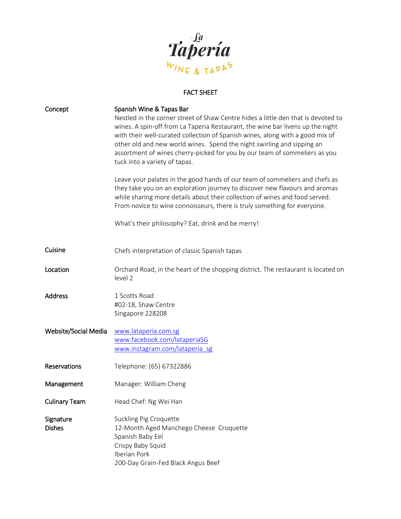Tapería

## FACT SHEET

| Spanish Wine & Tapas Bar<br>Nestled in the corner street of Shaw Centre hides a little den that is devoted to<br>wines. A spin-off from La Taperia Restaurant, the wine bar livens up the night<br>with their well-curated collection of Spanish wines, along with a good mix of<br>other old and new world wines. Spend the night swirling and sipping an<br>assortment of wines cherry-picked for you by our team of sommeliers as you<br>tuck into a variety of tapas.<br>Leave your palates in the good hands of our team of sommeliers and chefs as<br>they take you on an exploration journey to discover new flavours and aromas<br>while sharing more details about their collection of wines and food served.<br>From novice to wine connoisseurs, there is truly something for everyone.<br>What's their philosophy? Eat, drink and be merry! |
|---------------------------------------------------------------------------------------------------------------------------------------------------------------------------------------------------------------------------------------------------------------------------------------------------------------------------------------------------------------------------------------------------------------------------------------------------------------------------------------------------------------------------------------------------------------------------------------------------------------------------------------------------------------------------------------------------------------------------------------------------------------------------------------------------------------------------------------------------------|
|                                                                                                                                                                                                                                                                                                                                                                                                                                                                                                                                                                                                                                                                                                                                                                                                                                                         |
| Chefs interpretation of classic Spanish tapas                                                                                                                                                                                                                                                                                                                                                                                                                                                                                                                                                                                                                                                                                                                                                                                                           |
| Orchard Road, in the heart of the shopping district. The restaurant is located on<br>level 2                                                                                                                                                                                                                                                                                                                                                                                                                                                                                                                                                                                                                                                                                                                                                            |
| 1 Scotts Road<br>#02-18, Shaw Centre<br>Singapore 228208                                                                                                                                                                                                                                                                                                                                                                                                                                                                                                                                                                                                                                                                                                                                                                                                |
| www.lataperia.com.sg<br>www.facebook.com/lataperiaSG<br>www.instagram.com/lataperia_sg                                                                                                                                                                                                                                                                                                                                                                                                                                                                                                                                                                                                                                                                                                                                                                  |
| Telephone: (65) 67322886                                                                                                                                                                                                                                                                                                                                                                                                                                                                                                                                                                                                                                                                                                                                                                                                                                |
| Manager: William Cheng                                                                                                                                                                                                                                                                                                                                                                                                                                                                                                                                                                                                                                                                                                                                                                                                                                  |
| Head Chef: Ng Wei Han                                                                                                                                                                                                                                                                                                                                                                                                                                                                                                                                                                                                                                                                                                                                                                                                                                   |
| Suckling Pig Croquette<br>12-Month Aged Manchego Cheese Croquette<br>Spanish Baby Eel<br>Crispy Baby Squid<br>Iberian Pork<br>200-Day Grain-Fed Black Angus Beef                                                                                                                                                                                                                                                                                                                                                                                                                                                                                                                                                                                                                                                                                        |
|                                                                                                                                                                                                                                                                                                                                                                                                                                                                                                                                                                                                                                                                                                                                                                                                                                                         |